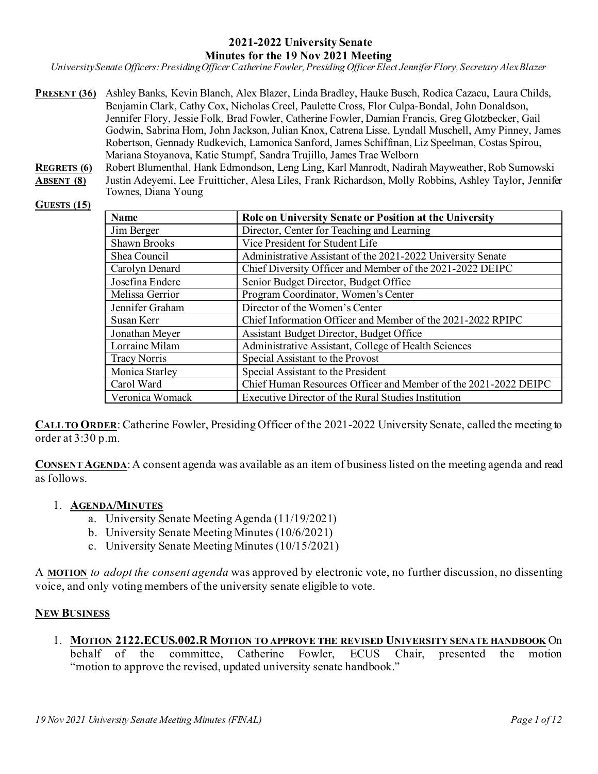#### **2021-2022 University Senate Minutes for the 19 Nov 2021 Meeting**

*University Senate Officers: Presiding Officer Catherine Fowler, Presiding Officer Elect Jennifer Flory, Secretary Alex Blazer*

- **PRESENT (36)** Ashley Banks, Kevin Blanch, Alex Blazer, Linda Bradley, Hauke Busch, Rodica Cazacu, Laura Childs, Benjamin Clark, Cathy Cox, Nicholas Creel, Paulette Cross, Flor Culpa-Bondal, John Donaldson, Jennifer Flory, Jessie Folk, Brad Fowler, Catherine Fowler, Damian Francis, Greg Glotzbecker, Gail Godwin, Sabrina Hom, John Jackson, Julian Knox, Catrena Lisse, Lyndall Muschell, Amy Pinney, James Robertson, Gennady Rudkevich, Lamonica Sanford, James Schiffman, Liz Speelman, Costas Spirou, Mariana Stoyanova, Katie Stumpf, Sandra Trujillo, James Trae Welborn
- **REGRETS (6)** Robert Blumenthal, Hank Edmondson, Leng Ling, Karl Manrodt, Nadirah Mayweather, Rob Sumowski **ABSENT (8)** Justin Adeyemi, Lee Fruitticher, Alesa Liles, Frank Richardson, Molly Robbins, Ashley Taylor, Jennifer Townes, Diana Young

#### **GUESTS (15)**

| <b>Name</b>         | Role on University Senate or Position at the University         |
|---------------------|-----------------------------------------------------------------|
| Jim Berger          | Director, Center for Teaching and Learning                      |
| <b>Shawn Brooks</b> | Vice President for Student Life                                 |
| Shea Council        | Administrative Assistant of the 2021-2022 University Senate     |
| Carolyn Denard      | Chief Diversity Officer and Member of the 2021-2022 DEIPC       |
| Josefina Endere     | Senior Budget Director, Budget Office                           |
| Melissa Gerrior     | Program Coordinator, Women's Center                             |
| Jennifer Graham     | Director of the Women's Center                                  |
| Susan Kerr          | Chief Information Officer and Member of the 2021-2022 RPIPC     |
| Jonathan Meyer      | Assistant Budget Director, Budget Office                        |
| Lorraine Milam      | Administrative Assistant, College of Health Sciences            |
| <b>Tracy Norris</b> | Special Assistant to the Provost                                |
| Monica Starley      | Special Assistant to the President                              |
| Carol Ward          | Chief Human Resources Officer and Member of the 2021-2022 DEIPC |
| Veronica Womack     | Executive Director of the Rural Studies Institution             |

**CALL TO ORDER**: Catherine Fowler, Presiding Officer of the 2021-2022 University Senate, called the meeting to order at 3:30 p.m.

**CONSENT AGENDA:** A consent agenda was available as an item of business listed on the meeting agenda and read as follows.

#### 1. **AGENDA/MINUTES**

- a. University Senate Meeting Agenda (11/19/2021)
- b. University Senate Meeting Minutes (10/6/2021)
- c. University Senate Meeting Minutes (10/15/2021)

A **MOTION** *to adopt the consent agenda* was approved by electronic vote, no further discussion, no dissenting voice, and only voting members of the university senate eligible to vote.

#### **NEW BUSINESS**

1. **MOTION 2122.ECUS.002.R MOTION TO APPROVE THE REVISED UNIVERSITY SENATE HANDBOOK** On behalf of the committee, Catherine Fowler, ECUS Chair, presented the motion "motion to approve the revised, updated university senate handbook."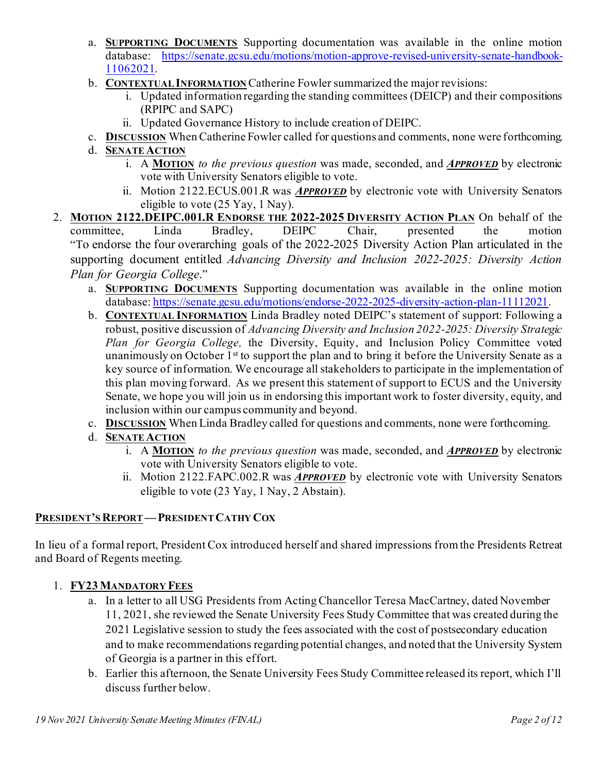- a. **SUPPORTING DOCUMENTS** Supporting documentation was available in the online motion database: [https://senate.gcsu.edu/motions/motion-approve-revised-university-senate-handbook-](https://senate.gcsu.edu/motions/motion-approve-revised-university-senate-handbook-11062021)[11062021](https://senate.gcsu.edu/motions/motion-approve-revised-university-senate-handbook-11062021).
- b. **CONTEXTUAL INFORMATION** Catherine Fowler summarized the major revisions:
	- i. Updated information regarding the standing committees (DEICP) and their compositions (RPIPC and SAPC)
	- ii. Updated Governance History to include creation of DEIPC.
- c. **DISCUSSION** When Catherine Fowler called for questions and comments, none were forthcoming.
- d. **SENATE ACTION**
	- i. A **MOTION** *to the previous question* was made, seconded, and *APPROVED* by electronic vote with University Senators eligible to vote.
	- ii. Motion 2122.ECUS.001.R was *APPROVED* by electronic vote with University Senators eligible to vote (25 Yay, 1 Nay).
- 2. **MOTION 2122.DEIPC.001.R ENDORSE THE 2022-2025 DIVERSITY ACTION PLAN** On behalf of the committee, Linda Bradley, DEIPC Chair, presented the motion "To endorse the four overarching goals of the 2022-2025 Diversity Action Plan articulated in the supporting document entitled *Advancing Diversity and Inclusion 2022-2025: Diversity Action Plan for Georgia College*."
	- a. **SUPPORTING DOCUMENTS** Supporting documentation was available in the online motion database[: https://senate.gcsu.edu/motions/endorse-2022-2025-diversity-action-plan-11112021](https://senate.gcsu.edu/motions/endorse-2022-2025-diversity-action-plan-11112021).
	- b. **CONTEXTUAL INFORMATION** Linda Bradley noted DEIPC's statement of support: Following a robust, positive discussion of *Advancing Diversity and Inclusion 2022-2025: Diversity Strategic Plan for Georgia College,* the Diversity, Equity, and Inclusion Policy Committee voted unanimously on October  $1<sup>st</sup>$  to support the plan and to bring it before the University Senate as a key source of information. We encourage all stakeholders to participate in the implementation of this plan moving forward.  As we present this statement of support to ECUS and the University Senate, we hope you will join us in endorsing this important work to foster diversity, equity, and inclusion within our campus community and beyond.
	- c. **DISCUSSION** When Linda Bradley called for questions and comments, none were forthcoming.
	- d. **SENATE ACTION**
		- i. A **MOTION** *to the previous question* was made, seconded, and *APPROVED* by electronic vote with University Senators eligible to vote.
		- ii. Motion 2122.FAPC.002.R was *APPROVED* by electronic vote with University Senators eligible to vote (23 Yay, 1 Nay, 2 Abstain).

# **PRESIDENT'S REPORT—PRESIDENT CATHY COX**

In lieu of a formal report, President Cox introduced herself and shared impressions from the Presidents Retreat and Board of Regents meeting.

# 1. **FY23 MANDATORY FEES**

- a. In a letter to all USG Presidents from Acting Chancellor Teresa MacCartney, dated November 11, 2021, she reviewed the Senate University Fees Study Committee that was created during the 2021 Legislative session to study the fees associated with the cost of postsecondary education and to make recommendations regarding potential changes, and noted that the University System of Georgia is a partner in this effort.
- b. Earlier this afternoon, the Senate University Fees Study Committee released its report, which I'll discuss further below.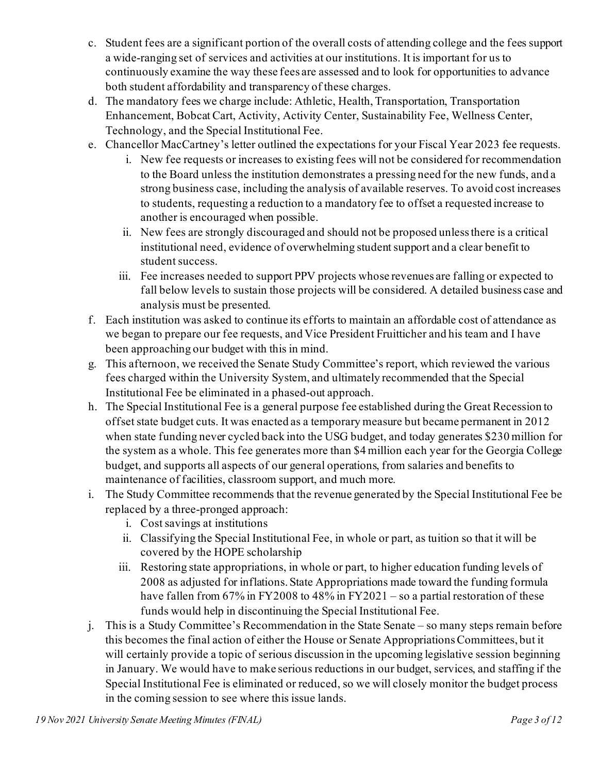- c. Student fees are a significant portion of the overall costs of attending college and the fees support a wide-ranging set of services and activities at our institutions. It is important for us to continuously examine the way these fees are assessed and to look for opportunities to advance both student affordability and transparency of these charges.
- d. The mandatory fees we charge include: Athletic, Health, Transportation, Transportation Enhancement, Bobcat Cart, Activity, Activity Center, Sustainability Fee, Wellness Center, Technology, and the Special Institutional Fee.
- e. Chancellor MacCartney's letter outlined the expectations for your Fiscal Year 2023 fee requests.
	- i. New fee requests or increases to existing fees will not be considered for recommendation to the Board unless the institution demonstrates a pressing need for the new funds, and a strong business case, including the analysis of available reserves. To avoid cost increases to students, requesting a reduction to a mandatory fee to offset a requested increase to another is encouraged when possible.
	- ii. New fees are strongly discouraged and should not be proposed unless there is a critical institutional need, evidence of overwhelming student support and a clear benefit to student success.
	- iii. Fee increases needed to support PPV projects whose revenues are falling or expected to fall below levels to sustain those projects will be considered. A detailed business case and analysis must be presented.
- f. Each institution was asked to continue its efforts to maintain an affordable cost of attendance as we began to prepare our fee requests, and Vice President Fruitticher and his team and I have been approaching our budget with this in mind.
- g. This afternoon, we received the Senate Study Committee's report, which reviewed the various fees charged within the University System, and ultimately recommended that the Special Institutional Fee be eliminated in a phased-out approach.
- h. The Special Institutional Fee is a general purpose fee established during the Great Recession to offset state budget cuts. It was enacted as a temporary measure but became permanent in 2012 when state funding never cycled back into the USG budget, and today generates \$230 million for the system as a whole. This fee generates more than \$4 million each year for the Georgia College budget, and supports all aspects of our general operations, from salaries and benefits to maintenance of facilities, classroom support, and much more.
- i. The Study Committee recommends that the revenue generated by the Special Institutional Fee be replaced by a three-pronged approach:
	- i. Cost savings at institutions
	- ii. Classifying the Special Institutional Fee, in whole or part, as tuition so that it will be covered by the HOPE scholarship
	- iii. Restoring state appropriations, in whole or part, to higher education funding levels of 2008 as adjusted for inflations. State Appropriations made toward the funding formula have fallen from 67% in FY2008 to 48% in FY2021 – so a partial restoration of these funds would help in discontinuing the Special Institutional Fee.
- j. This is a Study Committee's Recommendation in the State Senate so many steps remain before this becomes the final action of either the House or Senate Appropriations Committees, but it will certainly provide a topic of serious discussion in the upcoming legislative session beginning in January. We would have to make serious reductions in our budget, services, and staffing if the Special Institutional Fee is eliminated or reduced, so we will closely monitor the budget process in the coming session to see where this issue lands.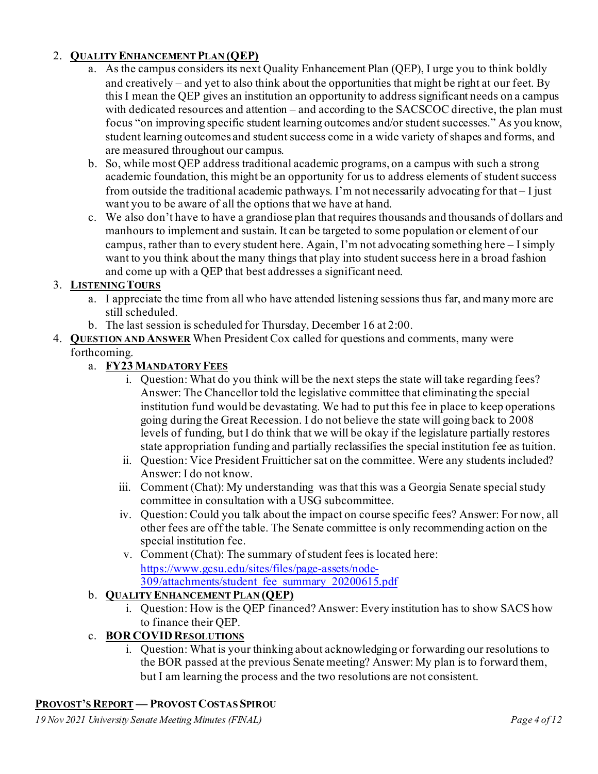# 2. **QUALITY ENHANCEMENT PLAN (QEP)**

- a. As the campus considers its next Quality Enhancement Plan (QEP), I urge you to think boldly and creatively – and yet to also think about the opportunities that might be right at our feet. By this I mean the QEP gives an institution an opportunity to address significant needs on a campus with dedicated resources and attention – and according to the SACSCOC directive, the plan must focus "on improving specific student learning outcomes and/or student successes." As you know, student learning outcomes and student success come in a wide variety of shapes and forms, and are measured throughout our campus.
- b. So, while most QEP address traditional academic programs, on a campus with such a strong academic foundation, this might be an opportunity for us to address elements of student success from outside the traditional academic pathways. I'm not necessarily advocating for that – I just want you to be aware of all the options that we have at hand.
- c. We also don't have to have a grandiose plan that requires thousands and thousands of dollars and manhours to implement and sustain. It can be targeted to some population or element of our campus, rather than to every student here. Again, I'm not advocating something here – I simply want to you think about the many things that play into student success here in a broad fashion and come up with a QEP that best addresses a significant need.

### 3. **LISTENING TOURS**

- a. I appreciate the time from all who have attended listening sessions thus far, and many more are still scheduled.
- b. The last session is scheduled for Thursday, December 16 at 2:00.
- 4. **QUESTION AND ANSWER** When President Cox called for questions and comments, many were

# forthcoming.

- a. **FY23 MANDATORY FEES**
	- i. Question: What do you think will be the next steps the state will take regarding fees? Answer: The Chancellor told the legislative committee that eliminating the special institution fund would be devastating. We had to put this fee in place to keep operations going during the Great Recession. I do not believe the state will going back to 2008 levels of funding, but I do think that we will be okay if the legislature partially restores state appropriation funding and partially reclassifies the special institution fee as tuition.
	- ii. Question: Vice President Fruitticher sat on the committee. Were any students included? Answer: I do not know.
	- iii. Comment (Chat): My understanding was that this was a Georgia Senate special study committee in consultation with a USG subcommittee.
	- iv. Question: Could you talk about the impact on course specific fees? Answer: For now, all other fees are off the table. The Senate committee is only recommending action on the special institution fee.
	- v. Comment (Chat): The summary of student fees is located here: [https://www.gcsu.edu/sites/files/page-assets/node-](https://www.gcsu.edu/sites/files/page-assets/node-309/attachments/student_fee_summary_20200615.pdf)[309/attachments/student\\_fee\\_summary\\_20200615.pdf](https://www.gcsu.edu/sites/files/page-assets/node-309/attachments/student_fee_summary_20200615.pdf)
- b. **QUALITY ENHANCEMENT PLAN (QEP)**
	- i. Question: How is the QEP financed? Answer: Every institution has to show SACS how to finance their QEP.

# c. **BORCOVID RESOLUTIONS**

i. Question: What is your thinking about acknowledging or forwarding our resolutions to the BOR passed at the previous Senate meeting? Answer: My plan is to forward them, but I am learning the process and the two resolutions are not consistent.

### **PROVOST'S REPORT — PROVOST COSTAS SPIROU**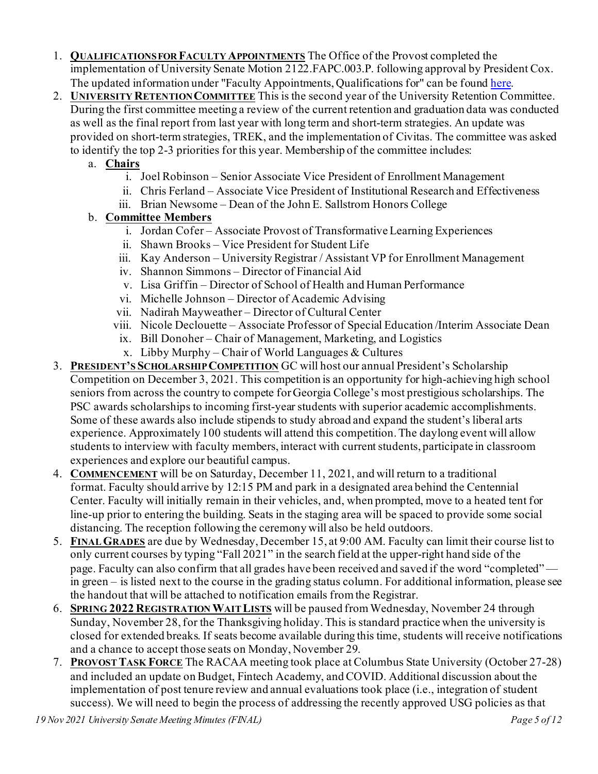- 1. **QUALIFICATIONS FOR FACULTY APPOINTMENTS** The Office of the Provost completed the implementation of University Senate Motion 2122.FAPC.003.P. following approval by President Cox. The updated information under "Faculty Appointments, Qualifications for" can be foun[d here](https://gcsu.smartcatalogiq.com/en/Policy-Manual/Policy-Manual/Academic-Affairs/EmploymentPolicies-Procedures-Benefits/Faculty-Appointments-Qualifications-for).
- 2. **UNIVERSITY RETENTION COMMITTEE** This is the second year of the University Retention Committee. During the first committee meeting a review of the current retention and graduation data was conducted as well as the final report from last year with long term and short-term strategies. An update was provided on short-term strategies, TREK, and the implementation of Civitas. The committee was asked to identify the top 2-3 priorities for this year. Membership of the committee includes:
	- a. **Chairs**
		- i. Joel Robinson Senior Associate Vice President of Enrollment Management
		- ii. Chris Ferland Associate Vice President of Institutional Research and Effectiveness
		- iii. Brian Newsome Dean of the John E. Sallstrom Honors College

#### b. **Committee Members**

- i. Jordan Cofer Associate Provost of Transformative Learning Experiences
- ii. Shawn Brooks Vice President for Student Life
- iii. Kay Anderson University Registrar / Assistant VP for Enrollment Management
- iv. Shannon Simmons Director of Financial Aid
- v. Lisa Griffin Director of School of Health and Human Performance
- vi. Michelle Johnson Director of Academic Advising
- vii. Nadirah Mayweather Director of Cultural Center
- viii. Nicole Declouette Associate Professor of Special Education /Interim Associate Dean
- ix. Bill Donoher Chair of Management, Marketing, and Logistics
- x. Libby Murphy Chair of World Languages  $&$  Cultures
- 3. **PRESIDENT'S SCHOLARSHIP COMPETITION** GC will host our annual President's Scholarship Competition on December 3, 2021. This competition is an opportunity for high-achieving high school seniors from across the country to compete for Georgia College's most prestigious scholarships. The PSC awards scholarships to incoming first-year students with superior academic accomplishments. Some of these awards also include stipends to study abroad and expand the student's liberal arts experience. Approximately 100 students will attend this competition. The daylong event will allow students to interview with faculty members, interact with current students, participate in classroom experiences and explore our beautiful campus.
- 4. **COMMENCEMENT** will be on Saturday, December 11, 2021, and will return to a traditional format. Faculty should arrive by 12:15 PM and park in a designated area behind the Centennial Center. Faculty will initially remain in their vehicles, and, when prompted, move to a heated tent for line-up prior to entering the building. Seats in the staging area will be spaced to provide some social distancing. The reception following the ceremony will also be held outdoors.
- 5. **FINAL GRADES** are due by Wednesday, December 15, at 9:00 AM. Faculty can limit their course list to only current courses by typing "Fall 2021" in the search field at the upper-right hand side of the page. Faculty can also confirm that all grades have been received and saved if the word "completed" in green – is listed next to the course in the grading status column. For additional information, please see the handout that will be attached to notification emails from the Registrar.
- 6. **SPRING 2022 REGISTRATION WAIT LISTS** will be paused from Wednesday, November 24 through Sunday, November 28, for the Thanksgiving holiday. This is standard practice when the university is closed for extended breaks. If seats become available during this time, students will receive notifications and a chance to accept those seats on Monday, November 29.
- 7. **PROVOST TASK FORCE** The RACAA meeting took place at Columbus State University (October 27-28) and included an update on Budget, Fintech Academy, and COVID. Additional discussion about the implementation of post tenure review and annual evaluations took place (i.e., integration of student success). We will need to begin the process of addressing the recently approved USG policies as that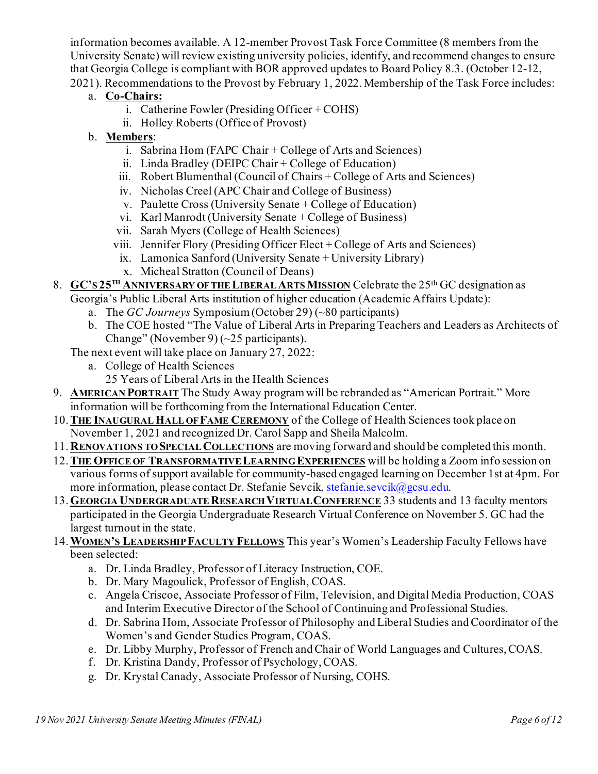information becomes available. A 12-member Provost Task Force Committee (8 members from the University Senate) will review existing university policies, identify, and recommend changes to ensure that Georgia College is compliant with BOR approved updates to Board Policy 8.3. (October 12-12, 2021). Recommendations to the Provost by February 1, 2022. Membership of the Task Force includes:

- a. **Co-Chairs:**
	- i. Catherine Fowler (Presiding Officer + COHS)
	- ii. Holley Roberts (Office of Provost)
- b. **Members**:
	- i. Sabrina Hom (FAPC Chair + College of Arts and Sciences)
	- ii. Linda Bradley (DEIPC Chair + College of Education)
	- iii. Robert Blumenthal (Council of Chairs + College of Arts and Sciences)
	- iv. Nicholas Creel (APC Chair and College of Business)
	- v. Paulette Cross (University Senate + College of Education)
	- vi. Karl Manrodt (University Senate + College of Business)
	- vii. Sarah Myers (College of Health Sciences)
	- viii. Jennifer Flory (Presiding Officer Elect + College of Arts and Sciences)
	- ix. Lamonica Sanford (University Senate + University Library)
	- x. Micheal Stratton (Council of Deans)

#### 8. **GC'S 25TH ANNIVERSARY OF THE LIBERAL ARTS MISSION** Celebrate the 25th GC designation as Georgia's Public Liberal Arts institution of higher education (Academic Affairs Update):

- a. The *GC Journeys* Symposium (October 29) (~80 participants)
- b. The COE hosted "The Value of Liberal Arts in Preparing Teachers and Leaders as Architects of Change" (November 9)  $(-25$  participants).
- The next event will take place on January 27, 2022:
	- a. College of Health Sciences
		- 25 Years of Liberal Arts in the Health Sciences
- 9. **AMERICAN PORTRAIT** The Study Away program will be rebranded as "American Portrait." More information will be forthcoming from the International Education Center.
- 10.**THE INAUGURAL HALL OF FAME CEREMONY** of the College of Health Sciences took place on November 1, 2021 and recognized Dr. Carol Sapp and Sheila Malcolm.
- 11. **RENOVATIONS TO SPECIAL COLLECTIONS** are moving forward and should be completed this month.
- 12.**THE OFFICE OF TRANSFORMATIVE LEARNING EXPERIENCES** will be holding a Zoom info session on various forms of support available for community-based engaged learning on December 1st at 4pm. For more information, please contact Dr. Stefanie Sevcik, [stefanie.sevcik@gcsu.edu](mailto:stefanie.sevcik@gcsu.edu).
- 13.**GEORGIA UNDERGRADUATE RESEARCH VIRTUAL CONFERENCE** 33 students and 13 faculty mentors participated in the Georgia Undergraduate Research Virtual Conference on November 5. GC had the largest turnout in the state.
- 14.**WOMEN'S LEADERSHIP FACULTY FELLOWS** This year's Women's Leadership Faculty Fellows have been selected:
	- a. Dr. Linda Bradley, Professor of Literacy Instruction, COE.
	- b. Dr. Mary Magoulick, Professor of English, COAS.
	- c. Angela Criscoe, Associate Professor of Film, Television, and Digital Media Production, COAS and Interim Executive Director of the School of Continuing and Professional Studies.
	- d. Dr. Sabrina Hom, Associate Professor of Philosophy and Liberal Studies and Coordinator of the Women's and Gender Studies Program, COAS.
	- e. Dr. Libby Murphy, Professor of French and Chair of World Languages and Cultures, COAS.
	- f. Dr. Kristina Dandy, Professor of Psychology, COAS.
	- g. Dr. Krystal Canady, Associate Professor of Nursing, COHS.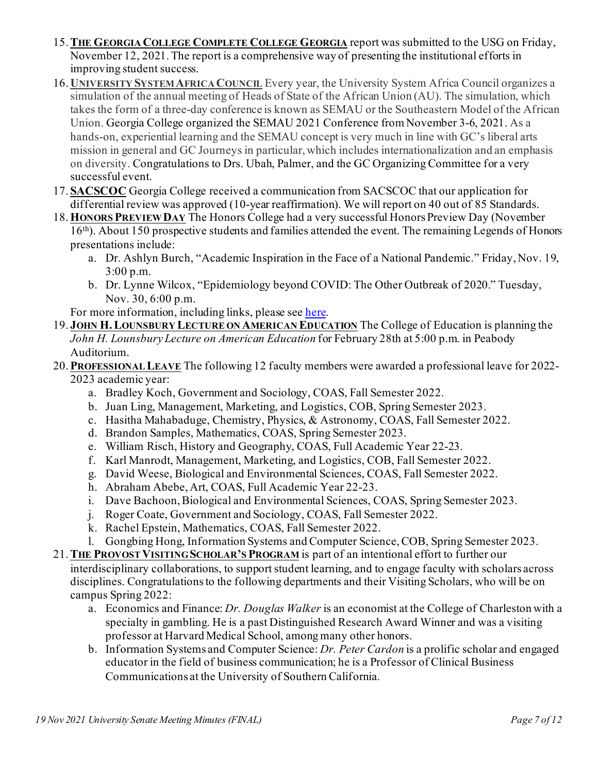- 15.**THE GEORGIA COLLEGE COMPLETE COLLEGE GEORGIA** report was submitted to the USG on Friday, November 12, 2021. The report is a comprehensive way of presenting the institutional efforts in improving student success.
- 16. **UNIVERSITY SYSTEM AFRICA COUNCIL** Every year, the University System Africa Council organizes a simulation of the annual meeting of Heads of State of the African Union (AU). The simulation, which takes the form of a three-day conference is known as SEMAU or the Southeastern Model of the African Union. Georgia College organized the SEMAU 2021 Conference from November 3-6, 2021. As a hands-on, experiential learning and the SEMAU concept is very much in line with GC's liberal arts mission in general and GC Journeys in particular, which includes internationalization and an emphasis on diversity. Congratulations to Drs. Ubah, Palmer, and the GC Organizing Committee for a very successful event.
- 17. **SACSCOC** Georgia College received a communication from SACSCOC that our application for differential review was approved (10-year reaffirmation). We will report on 40 out of 85 Standards.
- 18.**HONORS PREVIEW DAY** The Honors College had a very successful Honors Preview Day (November 16th). About 150 prospective students and families attended the event. The remaining Legends of Honors presentations include:
	- a. Dr. Ashlyn Burch, "Academic Inspiration in the Face of a National Pandemic." Friday, Nov. 19, 3:00 p.m.
	- b. Dr. Lynne Wilcox, "Epidemiology beyond COVID: The Other Outbreak of 2020." Tuesday, Nov. 30, 6:00 p.m.

For more information, including links, please se[e here.](https://frontpage.gcsu.edu/node/8884)

- 19. **JOHN H.LOUNSBURY LECTURE ON AMERICAN EDUCATION** The College of Education is planning the *John H. Lounsbury Lecture on American Education* for February 28th at 5:00 p.m. in Peabody Auditorium.
- 20.**PROFESSIONAL LEAVE** The following 12 faculty members were awarded a professional leave for 2022- 2023 academic year:
	- a. Bradley Koch, Government and Sociology, COAS, Fall Semester 2022.
	- b. Juan Ling, Management, Marketing, and Logistics, COB, Spring Semester 2023.
	- c. Hasitha Mahabaduge, Chemistry, Physics, & Astronomy, COAS, Fall Semester 2022.
	- d. Brandon Samples, Mathematics, COAS, Spring Semester 2023.
	- e. William Risch, History and Geography, COAS, Full Academic Year 22-23.
	- f. Karl Manrodt, Management, Marketing, and Logistics, COB, Fall Semester 2022.
	- g. David Weese, Biological and Environmental Sciences, COAS, Fall Semester 2022.
	- h. Abraham Abebe, Art, COAS, Full Academic Year 22-23.
	- i. Dave Bachoon, Biological and Environmental Sciences, COAS, Spring Semester 2023.
	- j. Roger Coate, Government and Sociology, COAS, Fall Semester 2022.
	- k. Rachel Epstein, Mathematics, COAS, Fall Semester 2022.
	- l. Gongbing Hong, Information Systems and Computer Science, COB, Spring Semester 2023.
- 21.**THE PROVOST VISITING SCHOLAR'S PROGRAM** is part of an intentional effort to further our interdisciplinary collaborations, to support student learning, and to engage faculty with scholars across disciplines. Congratulations to the following departments and their Visiting Scholars, who will be on campus Spring 2022:
	- a. Economics and Finance: *Dr. Douglas Walker* is an economist at the College of Charleston with a specialty in gambling. He is a past Distinguished Research Award Winner and was a visiting professor at Harvard Medical School, among many other honors.
	- b. Information Systems and Computer Science: *Dr. Peter Cardon* is a prolific scholar and engaged educator in the field of business communication; he is a Professor of Clinical Business Communications at the University of Southern California.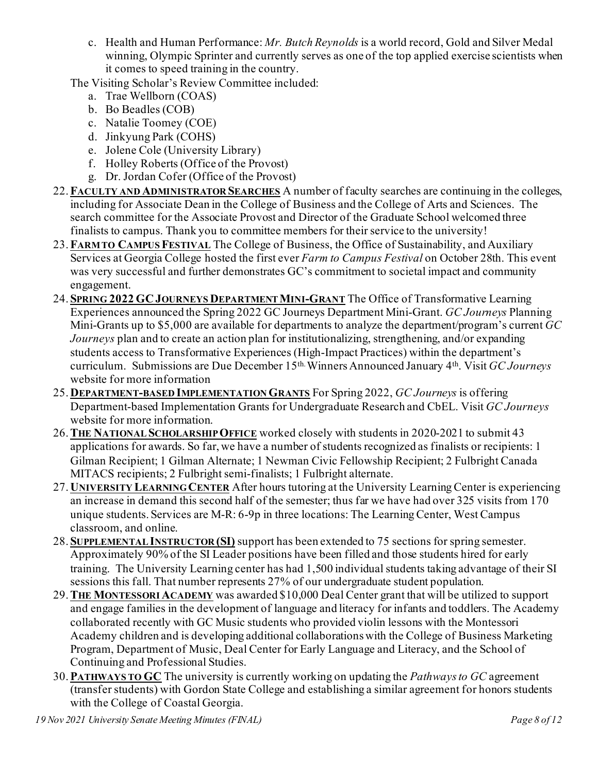c. Health and Human Performance: *Mr. Butch Reynolds* is a world record, Gold and Silver Medal winning, Olympic Sprinter and currently serves as one of the top applied exercise scientists when it comes to speed training in the country.

The Visiting Scholar's Review Committee included:

- a. Trae Wellborn (COAS)
- b. Bo Beadles (COB)
- c. Natalie Toomey (COE)
- d. Jinkyung Park (COHS)
- e. Jolene Cole (University Library)
- f. Holley Roberts (Office of the Provost)
- g. Dr. Jordan Cofer (Office of the Provost)
- 22.**FACULTY AND ADMINISTRATOR SEARCHES** A number of faculty searches are continuing in the colleges, including for Associate Dean in the College of Business and the College of Arts and Sciences. The search committee for the Associate Provost and Director of the Graduate School welcomed three finalists to campus. Thank you to committee members for their service to the university!
- 23.**FARM TO CAMPUS FESTIVAL** The College of Business, the Office of Sustainability, and Auxiliary Services at Georgia College hosted the first ever *Farm to Campus Festival* on October 28th. This event was very successful and further demonstrates GC's commitment to societal impact and community engagement.
- 24. **SPRING 2022 GC JOURNEYS DEPARTMENT MINI-GRANT** The Office of Transformative Learning Experiences announced the Spring 2022 GC Journeys Department Mini-Grant. *GC Journeys* Planning Mini-Grants up to \$5,000 are available for departments to analyze the department/program's current *GC Journeys* plan and to create an action plan for institutionalizing, strengthening, and/or expanding students access to Transformative Experiences (High-Impact Practices) within the department's curriculum. Submissions are Due December 15th. Winners Announced January 4th. Visit *GC Journeys* website for more information
- 25. **DEPARTMENT-BASED IMPLEMENTATION GRANTS** For Spring 2022, *GC Journeys* is offering Department-based Implementation Grants for Undergraduate Research and CbEL. Visit *GC Journeys* website for more information.
- 26.**THE NATIONAL SCHOLARSHIP OFFICE** worked closely with students in 2020-2021 to submit 43 applications for awards. So far, we have a number of students recognized as finalists or recipients: 1 Gilman Recipient; 1 Gilman Alternate; 1 Newman Civic Fellowship Recipient; 2 Fulbright Canada MITACS recipients; 2 Fulbright semi-finalists; 1 Fulbright alternate.
- 27. **UNIVERSITY LEARNING CENTER** After hours tutoring at the University Learning Center is experiencing an increase in demand this second half of the semester; thus far we have had over 325 visits from 170 unique students. Services are M-R: 6-9p in three locations: The Learning Center, West Campus classroom, and online.
- 28. **SUPPLEMENTAL INSTRUCTOR (SI)** support has been extended to 75 sections for spring semester. Approximately 90% of the SI Leader positions have been filled and those students hired for early training. The University Learning center has had 1,500 individual students taking advantage of their SI sessions this fall. That number represents 27% of our undergraduate student population.
- 29.**THE MONTESSORI ACADEMY** was awarded \$10,000 Deal Center grant that will be utilized to support and engage families in the development of language and literacy for infants and toddlers. The Academy collaborated recently with GC Music students who provided violin lessons with the Montessori Academy children and is developing additional collaborations with the College of Business Marketing Program, Department of Music, Deal Center for Early Language and Literacy, and the School of Continuing and Professional Studies.
- 30.**PATHWAYS TO GC** The university is currently working on updating the *Pathways to GC* agreement (transfer students) with Gordon State College and establishing a similar agreement for honors students with the College of Coastal Georgia.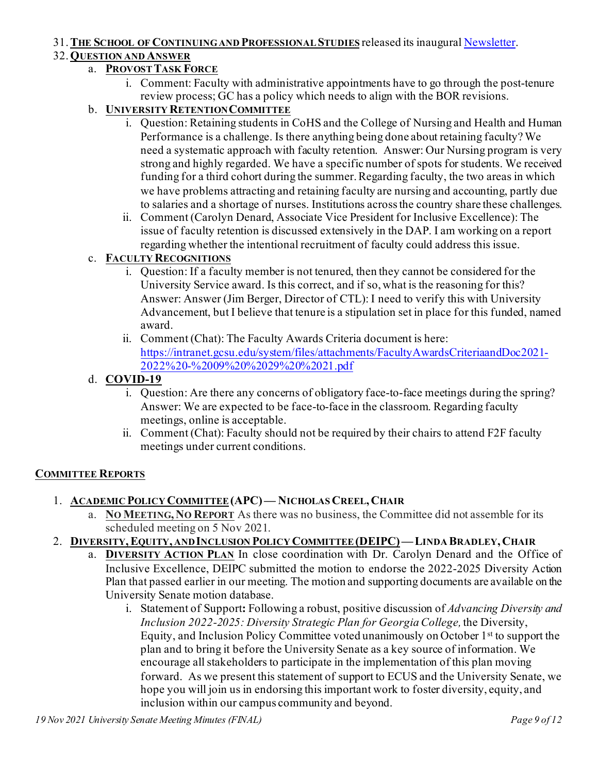#### 31.**THE SCHOOL OF CONTINUING AND PROFESSIONAL STUDIES** released its inaugura[l Newsletter](https://issuu.com/georgiacollege/docs/fall_2021_socps_newsletter).

### 32.**QUESTION AND ANSWER**

### a. **PROVOST TASK FORCE**

i. Comment: Faculty with administrative appointments have to go through the post-tenure review process; GC has a policy which needs to align with the BOR revisions.

### b. **UNIVERSITY RETENTION COMMITTEE**

- i. Question: Retaining students in CoHS and the College of Nursing and Health and Human Performance is a challenge. Is there anything being done about retaining faculty? We need a systematic approach with faculty retention. Answer: Our Nursing program is very strong and highly regarded. We have a specific number of spots for students. We received funding for a third cohort during the summer. Regarding faculty, the two areas in which we have problems attracting and retaining faculty are nursing and accounting, partly due to salaries and a shortage of nurses. Institutions across the country share these challenges.
- ii. Comment (Carolyn Denard, Associate Vice President for Inclusive Excellence): The issue of faculty retention is discussed extensively in the DAP. I am working on a report regarding whether the intentional recruitment of faculty could address this issue.

# c. **FACULTY RECOGNITIONS**

- i. Question: If a faculty member is not tenured, then they cannot be considered for the University Service award. Is this correct, and if so, what is the reasoning for this? Answer: Answer (Jim Berger, Director of CTL): I need to verify this with University Advancement, but I believe that tenure is a stipulation set in place for this funded, named award.
- ii. Comment (Chat): The Faculty Awards Criteria document is here: [https://intranet.gcsu.edu/system/files/attachments/FacultyAwardsCriteriaandDoc2021-](https://intranet.gcsu.edu/system/files/attachments/FacultyAwardsCriteriaandDoc2021-2022%20-%2009%20%2029%20%2021.pdf) [2022%20-%2009%20%2029%20%2021.pdf](https://intranet.gcsu.edu/system/files/attachments/FacultyAwardsCriteriaandDoc2021-2022%20-%2009%20%2029%20%2021.pdf)

# d. **COVID-19**

- i. Question: Are there any concerns of obligatory face-to-face meetings during the spring? Answer: We are expected to be face-to-face in the classroom. Regarding faculty meetings, online is acceptable.
- ii. Comment (Chat): Faculty should not be required by their chairs to attend F2F faculty meetings under current conditions.

#### **COMMITTEE REPORTS**

- 1. **ACADEMIC POLICY COMMITTEE(APC)— NICHOLAS CREEL, CHAIR**
	- a. **NO MEETING, NO REPORT** As there was no business, the Committee did not assemble for its scheduled meeting on 5 Nov 2021.
- 2. **DIVERSITY,EQUITY, AND INCLUSION POLICY COMMITTEE (DEIPC)—LINDA BRADLEY, CHAIR**
	- a. **DIVERSITY ACTION PLAN** In close coordination with Dr. Carolyn Denard and the Office of Inclusive Excellence, DEIPC submitted the motion to endorse the 2022-2025 Diversity Action Plan that passed earlier in our meeting. The motion and supporting documents are available on the University Senate motion database.
		- i. Statement of Support**:** Following a robust, positive discussion of *Advancing Diversity and Inclusion 2022-2025: Diversity Strategic Plan for Georgia College,* the Diversity, Equity, and Inclusion Policy Committee voted unanimously on October 1st to support the plan and to bring it before the University Senate as a key source of information. We encourage all stakeholders to participate in the implementation of this plan moving forward. As we present this statement of support to ECUS and the University Senate, we hope you will join us in endorsing this important work to foster diversity, equity, and inclusion within our campus community and beyond.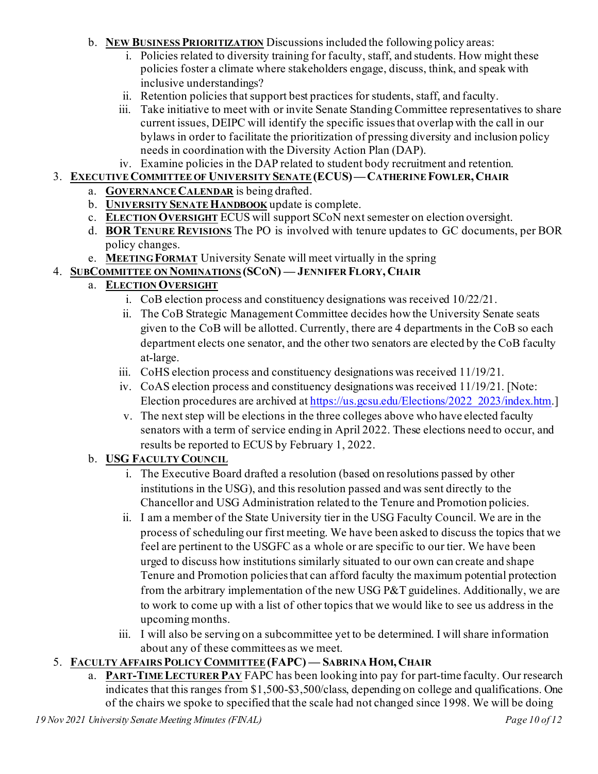- b. **NEW BUSINESS PRIORITIZATION** Discussions included the following policy areas:
	- i. Policies related to diversity training for faculty, staff, and students. How might these policies foster a climate where stakeholders engage, discuss, think, and speak with inclusive understandings?
	- ii. Retention policies that support best practices for students, staff, and faculty.
	- iii. Take initiative to meet with or invite Senate Standing Committee representatives to share current issues, DEIPC will identify the specific issues that overlap with the call in our bylaws in order to facilitate the prioritization of pressing diversity and inclusion policy needs in coordination with the Diversity Action Plan (DAP).
- iv. Examine policies in the DAP related to student body recruitment and retention.
- 3. **EXECUTIVE COMMITTEE OF UNIVERSITY SENATE(ECUS)—CATHERINE FOWLER, CHAIR**
	- a. **GOVERNANCE CALENDAR** is being drafted.
	- b. **UNIVERSITY SENATE HANDBOOK** update is complete.
	- c. **ELECTION OVERSIGHT** ECUS will support SCoN next semester on election oversight.
	- d. **BOR TENURE REVISIONS** The PO is involved with tenure updates to GC documents, per BOR policy changes.
- e. **MEETING FORMAT** University Senate will meet virtually in the spring
- 4. **SUBCOMMITTEE ON NOMINATIONS (SCON) — JENNIFER FLORY, CHAIR**

# a. **ELECTION OVERSIGHT**

- i. CoB election process and constituency designations was received 10/22/21.
- ii. The CoB Strategic Management Committee decides how the University Senate seats given to the CoB will be allotted. Currently, there are 4 departments in the CoB so each department elects one senator, and the other two senators are elected by the CoB faculty at-large.
- iii. CoHS election process and constituency designations was received 11/19/21.
- iv. CoAS election process and constituency designations was received 11/19/21. [Note: Election procedures are archived a[t https://us.gcsu.edu/Elections/2022\\_2023/index.htm.](https://us.gcsu.edu/Elections/2022_2023/index.htm)]
- v. The next step will be elections in the three colleges above who have elected faculty senators with a term of service ending in April 2022. These elections need to occur, and results be reported to ECUS by February 1, 2022.

# b. **USG FACULTY COUNCIL**

- i. The Executive Board drafted a resolution (based on resolutions passed by other institutions in the USG), and this resolution passed and was sent directly to the Chancellor and USG Administration related to the Tenure and Promotion policies.
- ii. I am a member of the State University tier in the USG Faculty Council. We are in the process of scheduling our first meeting. We have been asked to discuss the topics that we feel are pertinent to the USGFC as a whole or are specific to our tier. We have been urged to discuss how institutions similarly situated to our own can create and shape Tenure and Promotion policies that can afford faculty the maximum potential protection from the arbitrary implementation of the new USG P&T guidelines. Additionally, we are to work to come up with a list of other topics that we would like to see us address in the upcoming months.
- iii. I will also be serving on a subcommittee yet to be determined. I will share information about any of these committees as we meet.

# 5. **FACULTY AFFAIRS POLICY COMMITTEE(FAPC) — SABRINA HOM, CHAIR**

a. **PART-TIME LECTURER PAY** FAPC has been looking into pay for part-time faculty. Our research indicates that this ranges from \$1,500-\$3,500/class, depending on college and qualifications. One of the chairs we spoke to specified that the scale had not changed since 1998. We will be doing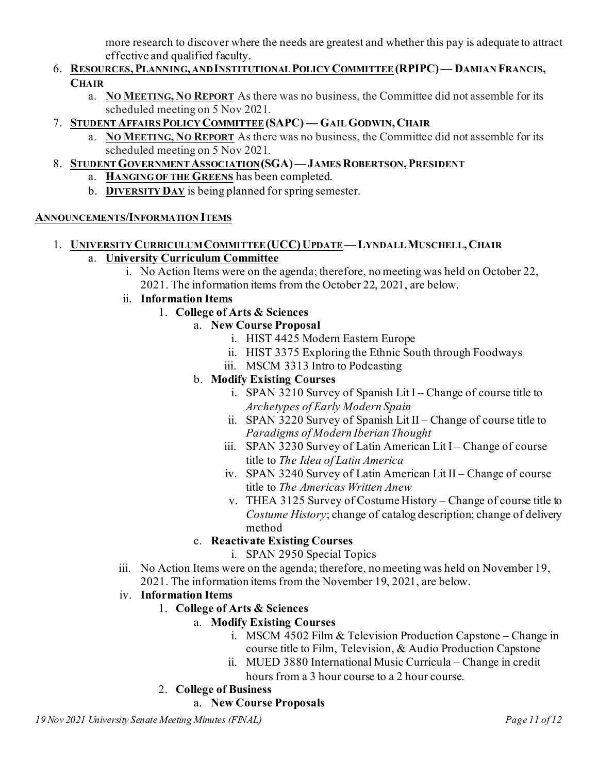more research to discover where the needs are greatest and whether this pay is adequate to attract effective and qualified faculty.

- 6. **RESOURCES,PLANNING, AND INSTITUTIONAL POLICY COMMITTEE(RPIPC)— DAMIAN FRANCIS, CHAIR**
	- a. **NO MEETING, NO REPORT** As there was no business, the Committee did not assemble for its scheduled meeting on 5 Nov 2021.
- 7. **STUDENT AFFAIRS POLICY COMMITTEE(SAPC) — GAIL GODWIN, CHAIR**
	- a. **NO MEETING, NO REPORT** As there was no business, the Committee did not assemble for its scheduled meeting on 5 Nov 2021.
- 8. **STUDENT GOVERNMENT ASSOCIATION(SGA)—JAMES ROBERTSON,PRESIDENT**
	- a. **HANGING OF THE GREENS** has been completed.
	- b. **DIVERSITY DAY** is being planned for spring semester.

### **ANNOUNCEMENTS/INFORMATION ITEMS**

- 1. **UNIVERSITY CURRICULUM COMMITTEE (UCC)UPDATE—LYNDALL MUSCHELL, CHAIR** a. **University Curriculum Committee**
	- i. No Action Items were on the agenda; therefore, no meeting was held on October 22, 2021. The information items from the October 22, 2021, are below.
	- ii. **Information Items** 
		- 1. **College of Arts & Sciences**

# a. **New Course Proposal**

- i. HIST 4425 Modern Eastern Europe
- ii. HIST 3375 Exploring the Ethnic South through Foodways
- iii. MSCM 3313 Intro to Podcasting

# b. **Modify Existing Courses**

- i. SPAN 3210 Survey of Spanish Lit I Change of course title to *Archetypes of Early Modern Spain*
- ii. SPAN 3220 Survey of Spanish Lit II Change of course title to *Paradigms of Modern Iberian Thought*
- iii. SPAN 3230 Survey of Latin American Lit I Change of course title to *The Idea of Latin America*
- iv. SPAN 3240 Survey of Latin American Lit II Change of course title to *The Americas Written Anew*
- v. THEA 3125 Survey of Costume History Change of course title to *Costume History*; change of catalog description; change of delivery method

# c. **Reactivate Existing Courses**

- i. SPAN 2950 Special Topics
- iii. No Action Items were on the agenda; therefore, no meeting was held on November 19, 2021. The information items from the November 19, 2021, are below.
- iv. **Information Items** 
	- 1. **College of Arts & Sciences**

# a. **Modify Existing Courses**

- i. MSCM 4502 Film & Television Production Capstone Change in course title to Film, Television, & Audio Production Capstone
- ii. MUED 3880 International Music Curricula Change in credit hours from a 3 hour course to a 2 hour course.

# 2. **College of Business**

### a. **New Course Proposals**